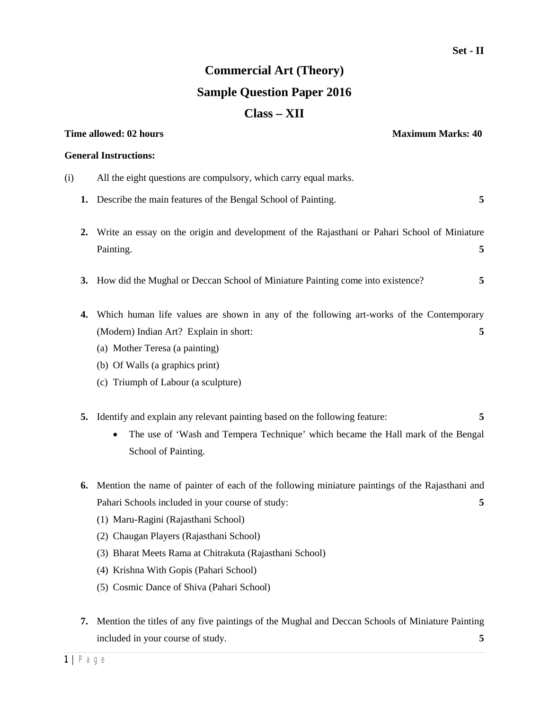## **Commercial Art (Theory) Sample Question Paper 2016 Class – XII**

|     | Time allowed: 02 hours<br><b>Maximum Marks: 40</b>                                                                                                                                                                                                                                                                                                                                          |
|-----|---------------------------------------------------------------------------------------------------------------------------------------------------------------------------------------------------------------------------------------------------------------------------------------------------------------------------------------------------------------------------------------------|
|     | <b>General Instructions:</b>                                                                                                                                                                                                                                                                                                                                                                |
| (i) | All the eight questions are compulsory, which carry equal marks.                                                                                                                                                                                                                                                                                                                            |
| 1.  | Describe the main features of the Bengal School of Painting.<br>5                                                                                                                                                                                                                                                                                                                           |
| 2.  | Write an essay on the origin and development of the Rajasthani or Pahari School of Miniature<br>Painting.<br>5                                                                                                                                                                                                                                                                              |
| 3.  | How did the Mughal or Deccan School of Miniature Painting come into existence?<br>5                                                                                                                                                                                                                                                                                                         |
| 4.  | Which human life values are shown in any of the following art-works of the Contemporary<br>(Modern) Indian Art? Explain in short:<br>5<br>(a) Mother Teresa (a painting)<br>(b) Of Walls (a graphics print)                                                                                                                                                                                 |
|     | (c) Triumph of Labour (a sculpture)                                                                                                                                                                                                                                                                                                                                                         |
| 5.  | Identify and explain any relevant painting based on the following feature:<br>5<br>The use of 'Wash and Tempera Technique' which became the Hall mark of the Bengal<br>School of Painting.                                                                                                                                                                                                  |
| 6.  | Mention the name of painter of each of the following miniature paintings of the Rajasthani and<br>Pahari Schools included in your course of study:<br>5<br>(1) Maru-Ragini (Rajasthani School)<br>(2) Chaugan Players (Rajasthani School)<br>(3) Bharat Meets Rama at Chitrakuta (Rajasthani School)<br>(4) Krishna With Gopis (Pahari School)<br>(5) Cosmic Dance of Shiva (Pahari School) |
| 7.  | Mention the titles of any five paintings of the Mughal and Deccan Schools of Miniature Painting<br>included in your course of study.<br>5                                                                                                                                                                                                                                                   |